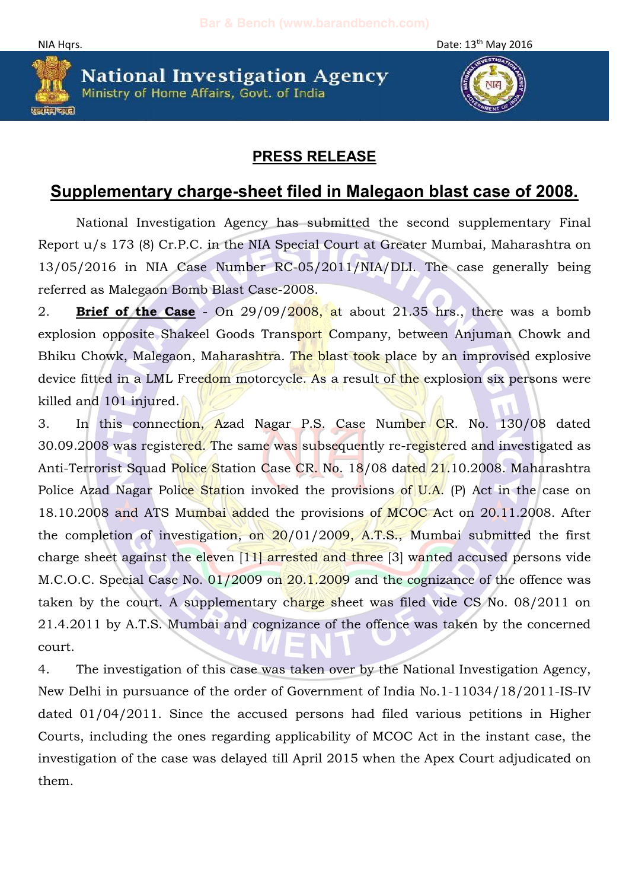NIA Hqrs. Date: 13<sup>th</sup> May 2016



**National Investigation Agency** Ministry of Home Affairs, Govt. of India



## **PRESS RELEASE**

## **Supplementary charge-sheet filed in Malegaon blast case of 2008.**

National Investigation Agency has submitted the second supplementary Final Report u/s 173 (8) Cr.P.C. in the NIA Special Court at Greater Mumbai, Maharashtra on 13/05/2016 in NIA Case Number RC-05/2011/NIA/DLI. The case generally being referred as Malegaon Bomb Blast Case-2008.

2. **Brief of the Case** - On 29/09/2008, at about 21.35 hrs., there was a bomb explosion opposite Shakeel Goods Transport Company, between Anjuman Chowk and Bhiku Chowk, Malegaon, Maharashtra. The blast took place by an improvised explosive device fitted in a LML Freedom motorcycle. As a result of the explosion six persons were killed and 101 injured.

3. In this connection, Azad Nagar P.S. Case Number CR. No. 130/08 dated 30.09.2008 was registered. The same was subsequently re-registered and investigated as Anti-Terrorist Squad Police Station Case CR. No. 18/08 dated 21.10.2008. Maharashtra Police Azad Nagar Police Station invoked the provisions of U.A. (P) Act in the case on 18.10.2008 and ATS Mumbai added the provisions of MCOC Act on 20.11.2008. After the completion of investigation, on 20/01/2009, A.T.S., Mumbai submitted the first charge sheet against the eleven [11] arrested and three [3] wanted accused persons vide M.C.O.C. Special Case No. 01/2009 on 20.1.2009 and the cognizance of the offence was taken by the court. A supplementary charge sheet was filed vide CS No. 08/2011 on 21.4.2011 by A.T.S. Mumbai and cognizance of the offence was taken by the concerned court.

4. The investigation of this case was taken over by the National Investigation Agency, New Delhi in pursuance of the order of Government of India No.1-11034/18/2011-IS-IV dated 01/04/2011. Since the accused persons had filed various petitions in Higher Courts, including the ones regarding applicability of MCOC Act in the instant case, the investigation of the case was delayed till April 2015 when the Apex Court adjudicated on them.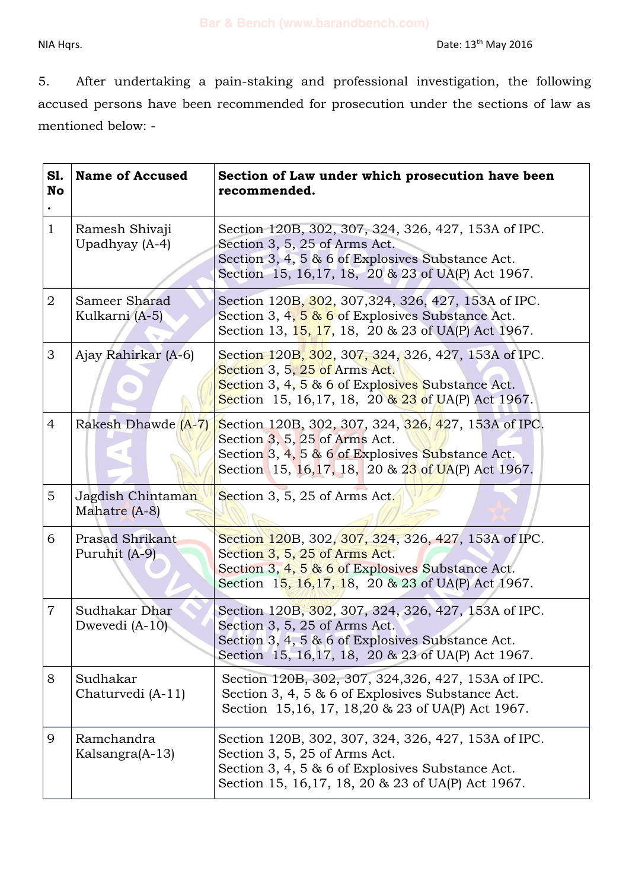5. After undertaking a pain-staking and professional investigation, the following accused persons have been recommended for prosecution under the sections of law as mentioned below: -

| S1.<br>No      | <b>Name of Accused</b>                  | Section of Law under which prosecution have been<br>recommended.                                                                                                                                         |
|----------------|-----------------------------------------|----------------------------------------------------------------------------------------------------------------------------------------------------------------------------------------------------------|
| $\mathbf{1}$   | Ramesh Shivaji<br>Upadhyay (A-4)        | Section 120B, 302, 307, 324, 326, 427, 153A of IPC.<br>Section 3, 5, 25 of Arms Act.<br>Section 3, 4, 5 $\&$ 6 of Explosives Substance Act.<br>Section 15, 16, 17, 18, 20 & 23 of UA(P) Act 1967.        |
| $\overline{2}$ | Sameer Sharad<br>Kulkarni (A-5)         | Section 120B, 302, 307, 324, 326, 427, 153A of IPC.<br>Section 3, 4, 5 & 6 of Explosives Substance Act.<br>Section 13, 15, 17, 18, 20 & 23 of UA(P) Act 1967.                                            |
| 3              | Ajay Rahirkar (A-6)                     | Section 120B, 302, 307, 324, 326, 427, 153A of IPC.<br>Section 3, 5, 25 of Arms Act.<br>Section 3, 4, 5 & 6 of Explosives Substance Act.<br>Section 15, 16, 17, 18, 20 $\frac{12}{3}$ of UA(P) Act 1967. |
| $\overline{4}$ | Rakesh Dhawde (A-7)                     | Section 120B, 302, 307, 324, 326, 427, 153A of IPC.<br>Section $3, 5, 25$ of Arms Act.<br>Section 3, 4, 5 & 6 of Explosives Substance Act.<br>Section 15, 16, 17, 18, 20 & 23 of UA(P) Act 1967.         |
| $5^{\circ}$    | Jagdish Chintaman<br>Mahatre (A-8)      | Section 3, 5, 25 of Arms Act.                                                                                                                                                                            |
| 6              | <b>Prasad Shrikant</b><br>Puruhit (A-9) | Section 120B, 302, 307, 324, 326, 427, 153A of IPC.<br>Section 3, 5, 25 of Arms Act.<br>Section 3, $4, 5$ & 6 of Explosives Substance Act.<br>Section 15, 16, 17, 18, 20 & 23 of UA(P) Act 1967.         |
| $\overline{7}$ | Sudhakar Dhar<br>Dwevedi $(A-10)$       | Section 120B, 302, 307, 324, 326, 427, 153A of IPC.<br>Section 3, 5, 25 of Arms Act.<br>Section 3, 4, 5 & 6 of Explosives Substance Act.<br>Section 15, 16, 17, 18, 20 & 23 of UA(P) Act 1967.           |
| 8              | Sudhakar<br>Chaturvedi (A-11)           | Section 120B, 302, 307, 324, 326, 427, 153A of IPC.<br>Section 3, 4, 5 & 6 of Explosives Substance Act.<br>Section 15,16, 17, 18,20 & 23 of UA(P) Act 1967.                                              |
| 9              | Ramchandra<br>Kalsangra(A-13)           | Section 120B, 302, 307, 324, 326, 427, 153A of IPC.<br>Section 3, 5, 25 of Arms Act.<br>Section 3, 4, 5 & 6 of Explosives Substance Act.<br>Section 15, 16, 17, 18, 20 & 23 of UA(P) Act 1967.           |